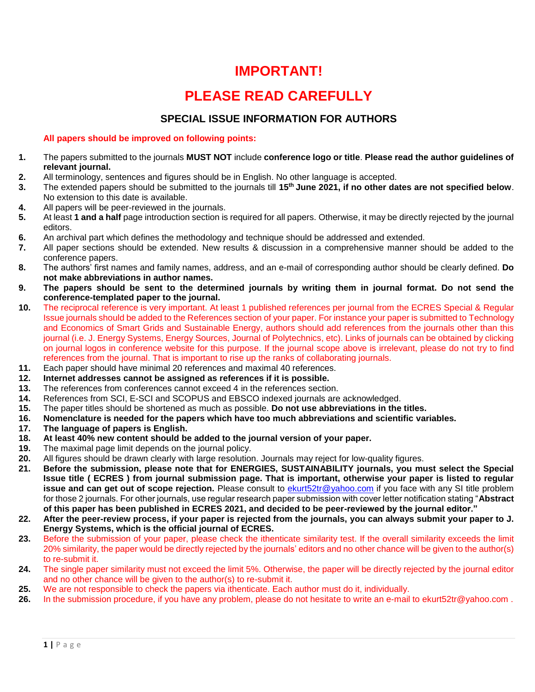### **IMPORTANT!**

## **PLEASE READ CAREFULLY**

#### **SPECIAL ISSUE INFORMATION FOR AUTHORS**

#### **All papers should be improved on following points:**

- **1.** The papers submitted to the journals **MUST NOT** include **conference logo or title**. **Please read the author guidelines of relevant journal.**
- **2.** All terminology, sentences and figures should be in English. No other language is accepted.
- **3.** The extended papers should be submitted to the journals till **15 th June 2021, if no other dates are not specified below**. No extension to this date is available.
- **4.** All papers will be peer-reviewed in the journals.
- **5.** At least **1 and a half** page introduction section is required for all papers. Otherwise, it may be directly rejected by the journal editors.
- **6.** An archival part which defines the methodology and technique should be addressed and extended.
- **7.** All paper sections should be extended. New results & discussion in a comprehensive manner should be added to the conference papers.
- **8.** The authors' first names and family names, address, and an e-mail of corresponding author should be clearly defined. **Do not make abbreviations in author names.**
- **9. The papers should be sent to the determined journals by writing them in journal format. Do not send the conference-templated paper to the journal.**
- **10.** The reciprocal reference is very important. At least 1 published references per journal from the ECRES Special & Regular Issue journals should be added to the References section of your paper. For instance your paper is submitted t[o Technology](https://www.springer.com/journal/40866/)  [and Economics of Smart Grids and Sustainable Energy,](https://www.springer.com/journal/40866/) authors should add references from the journals other than this journal (i.e. J. Energy Systems, Energy Sources, Journal of Polytechnics, etc). Links of journals can be obtained by clicking on journal logos in conference website for this purpose. If the journal scope above is irrelevant, please do not try to find references from the journal. That is important to rise up the ranks of collaborating journals.
- **11.** Each paper should have minimal 20 references and maximal 40 references.
- **12. Internet addresses cannot be assigned as references if it is possible.**
- **13.** The references from conferences cannot exceed 4 in the references section.
- **14.** References from SCI, E-SCI and SCOPUS and EBSCO indexed journals are acknowledged.
- **15.** The paper titles should be shortened as much as possible. **Do not use abbreviations in the titles.**
- **16. Nomenclature is needed for the papers which have too much abbreviations and scientific variables.**
- **17. The language of papers is English.**
- **18. At least 40% new content should be added to the journal version of your paper.**
- **19.** The maximal page limit depends on the journal policy.
- **20.** All figures should be drawn clearly with large resolution. Journals may reject for low-quality figures.
- **21. Before the submission, please note that for ENERGIES, [SUSTAINABILITY](https://www.springer.com/journal/40866/) journals, you must select the Special Issue title ( ECRES ) from journal submission page. That is important, otherwise your paper is listed to regular issue and can get out of scope rejection.** Please consult to [ekurt52tr@yahoo.com](mailto:ekurt52tr@yahoo.com) if you face with any SI title problem for those 2 journals. For other journals, use regular research paper submission with cover letter notification stating "**Abstract of this paper has been published in ECRES 2021, and decided to be peer-reviewed by the journal editor."**
- **22. After the peer-review process, if your paper is rejected from the journals, you can always submit your paper to J. Energy Systems, which is the official journal of ECRES.**
- **23.** Before the submission of your paper, please check the ithenticate similarity test. If the overall similarity exceeds the limit 20% similarity, the paper would be directly rejected by the journals' editors and no other chance will be given to the author(s) to re-submit it.
- **24.** The single paper similarity must not exceed the limit 5%. Otherwise, the paper will be directly rejected by the journal editor and no other chance will be given to the author(s) to re-submit it.
- **25.** We are not responsible to check the papers via ithenticate. Each author must do it, individually.
- **26.** In the submission procedure, if you have any problem, please do not hesitate to write an e-mail to ekurt52tr@yahoo.com .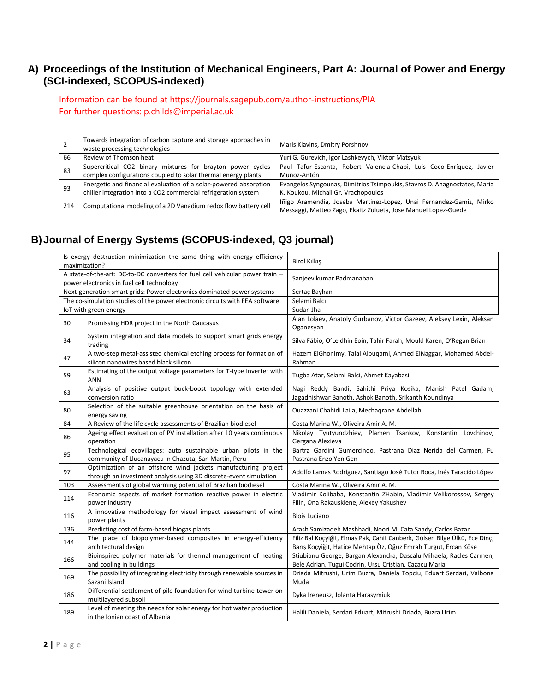#### **A) Proceedings of the Institution of Mechanical Engineers, Part A: Journal of Power and Energy (SCI-indexed, SCOPUS-indexed)**

Information can be found at<https://journals.sagepub.com/author-instructions/PIA> For further questions: p.childs@imperial.ac.uk

|     | Towards integration of carbon capture and storage approaches in<br>waste processing technologies | Maris Klavins, Dmitry Porshnov                                            |
|-----|--------------------------------------------------------------------------------------------------|---------------------------------------------------------------------------|
| 66  | Review of Thomson heat                                                                           | Yuri G. Gurevich, Igor Lashkevych, Viktor Matsyuk                         |
| 83  | Supercritical CO2 binary mixtures for brayton power cycles                                       | Paul Tafur-Escanta, Robert Valencia-Chapi, Luis Coco-Enríquez, Javier     |
|     | complex configurations coupled to solar thermal energy plants                                    | Muñoz-Antón                                                               |
| 93  | Energetic and financial evaluation of a solar-powered absorption                                 | Evangelos Syngounas, Dimitrios Tsimpoukis, Stavros D. Anagnostatos, Maria |
|     | chiller integration into a CO2 commercial refrigeration system                                   | K. Koukou, Michail Gr. Vrachopoulos                                       |
|     | Computational modeling of a 2D Vanadium redox flow battery cell                                  | Iñigo Aramendia, Joseba Martinez-Lopez, Unai Fernandez-Gamiz, Mirko       |
| 214 |                                                                                                  | Messaggi, Matteo Zago, Ekaitz Zulueta, Jose Manuel Lopez-Guede            |

#### **B)Journal of Energy Systems (SCOPUS-indexed, Q3 journal)**

|     | Is exergy destruction minimization the same thing with energy efficiency<br>maximization?                                           | Birol Kılkış                                                                                                                                  |
|-----|-------------------------------------------------------------------------------------------------------------------------------------|-----------------------------------------------------------------------------------------------------------------------------------------------|
|     | A state-of-the-art: DC-to-DC converters for fuel cell vehicular power train -<br>power electronics in fuel cell technology          | Sanjeevikumar Padmanaban                                                                                                                      |
|     | Next-generation smart grids: Power electronics dominated power systems                                                              | Sertaç Bayhan                                                                                                                                 |
|     | The co-simulation studies of the power electronic circuits with FEA software                                                        | Selami Balcı                                                                                                                                  |
|     | IoT with green energy                                                                                                               | Sudan Jha                                                                                                                                     |
| 30  | Promissing HDR project in the North Caucasus                                                                                        | Alan Lolaev, Anatoly Gurbanov, Victor Gazeev, Aleksey Lexin, Aleksan<br>Oganesyan                                                             |
| 34  | System integration and data models to support smart grids energy<br>trading                                                         | Silva Fábio, O'Leidhin Eoin, Tahir Farah, Mould Karen, O'Regan Brian                                                                          |
| 47  | A two-step metal-assisted chemical etching process for formation of<br>silicon nanowires based black silicon                        | Hazem ElGhonimy, Talal Albugami, Ahmed ElNaggar, Mohamed Abdel-<br>Rahman                                                                     |
| 59  | Estimating of the output voltage parameters for T-type Inverter with<br>ANN                                                         | Tugba Atar, Selami Balci, Ahmet Kayabasi                                                                                                      |
| 63  | Analysis of positive output buck-boost topology with extended<br>conversion ratio                                                   | Nagi Reddy Bandi, Sahithi Priya Kosika, Manish Patel Gadam,<br>Jagadhishwar Banoth, Ashok Banoth, Srikanth Koundinya                          |
| 80  | Selection of the suitable greenhouse orientation on the basis of<br>energy saving                                                   | Quazzani Chahidi Laila, Mechagrane Abdellah                                                                                                   |
| 84  | A Review of the life cycle assessments of Brazilian biodiesel                                                                       | Costa Marina W., Oliveira Amir A. M.                                                                                                          |
| 86  | Ageing effect evaluation of PV installation after 10 years continuous<br>operation                                                  | Nikolay Tyutyundzhiev, Plamen Tsankov, Konstantin Lovchinov,<br>Gergana Alexieva                                                              |
| 95  | Technological ecovillages: auto sustainable urban pilots in the<br>community of Llucanayacu in Chazuta, San Martin, Peru            | Bartra Gardini Gumercindo, Pastrana Diaz Nerida del Carmen, Fu<br>Pastrana Enzo Yen Gen                                                       |
| 97  | Optimization of an offshore wind jackets manufacturing project<br>through an investment analysis using 3D discrete-event simulation | Adolfo Lamas Rodríguez, Santiago José Tutor Roca, Inés Taracido López                                                                         |
| 103 | Assessments of global warming potential of Brazilian biodiesel                                                                      | Costa Marina W., Oliveira Amir A. M.                                                                                                          |
| 114 | Economic aspects of market formation reactive power in electric<br>power industry                                                   | Vladimir Kolibaba, Konstantin ZHabin, Vladimir Velikorossov, Sergey<br>Filin, Ona Rakauskiene, Alexey Yakushev                                |
| 116 | A innovative methodology for visual impact assessment of wind<br>power plants                                                       | <b>Blois Luciano</b>                                                                                                                          |
| 136 | Predicting cost of farm-based biogas plants                                                                                         | Arash Samizadeh Mashhadi, Noori M. Cata Saady, Carlos Bazan                                                                                   |
| 144 | The place of biopolymer-based composites in energy-efficiency<br>architectural design                                               | Filiz Bal Koçyiğit, Elmas Pak, Cahit Canberk, Gülsen Bilge Ülkü, Ece Dinç,<br>Barış Koçyiğit, Hatice Mehtap Öz, Oğuz Emrah Turgut, Ercan Köse |
| 166 | Bioinspired polymer materials for thermal management of heating<br>and cooling in buildings                                         | Stiubianu George, Bargan Alexandra, Dascalu Mihaela, Racles Carmen,<br>Bele Adrian, Tugui Codrin, Ursu Cristian, Cazacu Maria                 |
| 169 | The possibility of integrating electricity through renewable sources in<br>Sazani Island                                            | Driada Mitrushi, Urim Buzra, Daniela Topciu, Eduart Serdari, Valbona<br>Muda                                                                  |
| 186 | Differential settlement of pile foundation for wind turbine tower on<br>multilayered subsoil                                        | Dyka Ireneusz, Jolanta Harasymiuk                                                                                                             |
| 189 | Level of meeting the needs for solar energy for hot water production<br>in the Ionian coast of Albania                              | Halili Daniela, Serdari Eduart, Mitrushi Driada, Buzra Urim                                                                                   |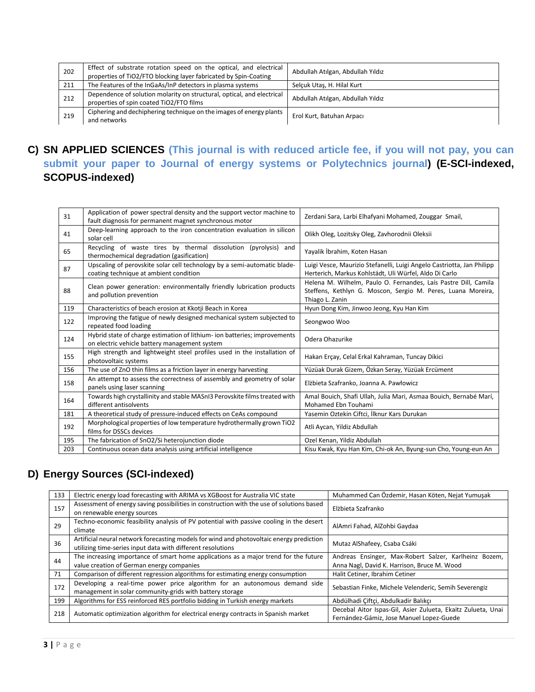| 202 | Effect of substrate rotation speed on the optical, and electrical<br>properties of TiO2/FTO blocking layer fabricated by Spin-Coating | Abdullah Atılgan, Abdullah Yıldız |
|-----|---------------------------------------------------------------------------------------------------------------------------------------|-----------------------------------|
| 211 | The Features of the InGaAs/InP detectors in plasma systems                                                                            | Selcuk Utas, H. Hilal Kurt        |
| 212 | Dependence of solution molarity on structural, optical, and electrical<br>properties of spin coated TiO2/FTO films                    | Abdullah Atılgan, Abdullah Yıldız |
| 219 | Ciphering and dechiphering technique on the images of energy plants<br>and networks                                                   | Erol Kurt, Batuhan Arpacı         |

#### **C) SN APPLIED SCIENCES (This journal is with reduced article fee, if you will not pay, you can submit your paper to Journal of energy systems or Polytechnics journal) (E-SCI-indexed, SCOPUS-indexed)**

| 31  | Application of power spectral density and the support vector machine to<br>fault diagnosis for permanent magnet synchronous motor | Zerdani Sara, Larbi Elhafyani Mohamed, Zouggar Smail,                                                                                              |
|-----|-----------------------------------------------------------------------------------------------------------------------------------|----------------------------------------------------------------------------------------------------------------------------------------------------|
| 41  | Deep-learning approach to the iron concentration evaluation in silicon<br>solar cell                                              | Olikh Oleg, Lozitsky Oleg, Zavhorodnii Oleksii                                                                                                     |
| 65  | Recycling of waste tires by thermal dissolution<br>(pyrolysis)<br>and<br>thermochemical degradation (gasification)                | Yayalik İbrahim, Koten Hasan                                                                                                                       |
| 87  | Upscaling of perovskite solar cell technology by a semi-automatic blade-<br>coating technique at ambient condition                | Luigi Vesce, Maurizio Stefanelli, Luigi Angelo Castriotta, Jan Philipp<br>Herterich, Markus Kohlstädt, Uli Würfel, Aldo Di Carlo                   |
| 88  | Clean power generation: environmentally friendly lubrication products<br>and pollution prevention                                 | Helena M. Wilhelm, Paulo O. Fernandes, Laís Pastre Dill, Camila<br>Steffens, Kethlyn G. Moscon, Sergio M. Peres, Luana Moreira,<br>Thiago L. Zanin |
| 119 | Characteristics of beach erosion at Kkotji Beach in Korea                                                                         | Hyun Dong Kim, Jinwoo Jeong, Kyu Han Kim                                                                                                           |
| 122 | Improving the fatigue of newly designed mechanical system subjected to<br>repeated food loading                                   | Seongwoo Woo                                                                                                                                       |
| 124 | Hybrid state of charge estimation of lithium- ion batteries; improvements<br>on electric vehicle battery management system        | Odera Ohazurike                                                                                                                                    |
| 155 | High strength and lightweight steel profiles used in the installation of                                                          |                                                                                                                                                    |
|     | photovoltaic systems                                                                                                              | Hakan Erçay, Celal Erkal Kahraman, Tuncay Dikici                                                                                                   |
| 156 | The use of ZnO thin films as a friction layer in energy harvesting                                                                | Yüzüak Durak Gizem, Özkan Seray, Yüzüak Ercüment                                                                                                   |
| 158 | An attempt to assess the correctness of assembly and geometry of solar<br>panels using laser scanning                             | Elżbieta Szafranko, Joanna A. Pawłowicz                                                                                                            |
| 164 | Towards high crystallinity and stable MASnI3 Perovskite films treated with<br>different antisolvents                              | Amal Bouich, Shafi Ullah, Julia Mari, Asmaa Bouich, Bernabé Marí,<br>Mohamed Ebn Touhami                                                           |
| 181 | A theoretical study of pressure-induced effects on CeAs compound                                                                  | Yasemin Oztekin Ciftci, İlknur Kars Durukan                                                                                                        |
| 192 | Morphological properties of low temperature hydrothermally grown TiO2<br>films for DSSCs devices                                  | Atli Aycan, Yildiz Abdullah                                                                                                                        |
| 195 | The fabrication of SnO2/Si heterojunction diode                                                                                   | Ozel Kenan, Yildiz Abdullah                                                                                                                        |

### **D) Energy Sources (SCI-indexed)**

| 133 | Electric energy load forecasting with ARIMA vs XGBoost for Australia VIC state                                                                          | Muhammed Can Özdemir, Hasan Köten, Nejat Yumuşak                                                         |
|-----|---------------------------------------------------------------------------------------------------------------------------------------------------------|----------------------------------------------------------------------------------------------------------|
| 157 | Assessment of energy saving possibilities in construction with the use of solutions based<br>on renewable energy sources                                | Elżbieta Szafranko                                                                                       |
| 29  | Techno-economic feasibility analysis of PV potential with passive cooling in the desert<br>climate                                                      | AlAmri Fahad, AlZohbi Gaydaa                                                                             |
| 36  | Artificial neural network forecasting models for wind and photovoltaic energy prediction<br>utilizing time-series input data with different resolutions | Mutaz AlShafeey, Csaba Csáki                                                                             |
| 44  | The increasing importance of smart home applications as a major trend for the future<br>value creation of German energy companies                       | Andreas Ensinger, Max-Robert Salzer, Karlheinz Bozem,<br>Anna Nagl, David K. Harrison, Bruce M. Wood     |
| 71  | Comparison of different regression algorithms for estimating energy consumption                                                                         | Halit Cetiner, Ibrahim Cetiner                                                                           |
| 172 | Developing a real-time power price algorithm for an autonomous demand side<br>management in solar community-grids with battery storage                  | Sebastian Finke, Michele Velenderic, Semih Severengiz                                                    |
| 199 | Algorithms for ESS reinforced RES portfolio bidding in Turkish energy markets                                                                           | Abdülhadi Çiftçi, Abdulkadir Balıkçı                                                                     |
| 218 | Automatic optimization algorithm for electrical energy contracts in Spanish market                                                                      | Decebal Aitor Ispas-Gil, Asier Zulueta, Ekaitz Zulueta, Unai<br>Fernández-Gámiz, Jose Manuel Lopez-Guede |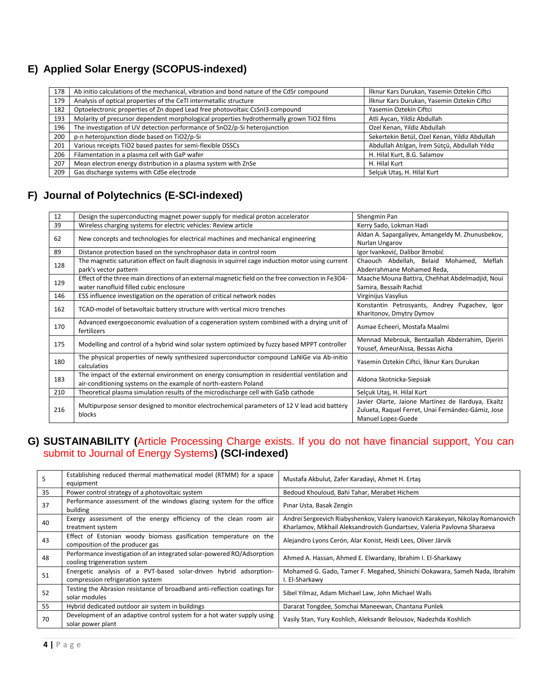#### **E) [Applied Solar Energy \(](http://onlinelibrary.wiley.com/journal/10.1002/%28ISSN%291099-047X)SCOPUS-indexed)**

| 178 | Ab initio calculations of the mechanical, vibration and bond nature of the CdSr compound | İlknur Kars Durukan, Yasemin Oztekin Ciftci   |
|-----|------------------------------------------------------------------------------------------|-----------------------------------------------|
| 179 | Analysis of optical properties of the CeTI intermetallic structure                       | İlknur Kars Durukan, Yasemin Oztekin Ciftci   |
| 182 | Optoelectronic properties of Zn doped Lead free photovoltaic CsSnI3 compound             | Yasemin Oztekin Ciftci                        |
| 193 | Molarity of precursor dependent morphological properties hydrothermally grown TiO2 films | Atli Aycan, Yildiz Abdullah                   |
| 196 | The investigation of UV detection performance of SnO2/p-Si heterojunction                | Ozel Kenan, Yildiz Abdullah                   |
| 200 | p-n heterojunction diode based on TiO2/p-Si                                              | Sekertekin Betül, Ozel Kenan, Yildiz Abdullah |
| 201 | Various receipts TiO2 based pastes for semi-flexible DSSCs                               | Abdullah Atılgan, İrem Sütçü, Abdullah Yıldız |
| 206 | Filamentation in a plasma cell with GaP wafer                                            | H. Hilal Kurt, B.G. Salamov                   |
| 207 | Mean electron energy distribution in a plasma system with ZnSe                           | H. Hilal Kurt                                 |
| 209 | Gas discharge systems with CdSe electrode                                                | Selcuk Utas, H. Hilal Kurt                    |

### **F) Journal of Polytechnics (E-SCI-indexed)**

| 12  | Design the superconducting magnet power supply for medical proton accelerator                                                                                  | Shengmin Pan                                                                                                                   |
|-----|----------------------------------------------------------------------------------------------------------------------------------------------------------------|--------------------------------------------------------------------------------------------------------------------------------|
| 39  | Wireless charging systems for electric vehicles: Review article                                                                                                | Kerry Sado, Lokman Hadi                                                                                                        |
| 62  | New concepts and technologies for electrical machines and mechanical engineering                                                                               | Aldan A. Sapargaliyev, Amangeldy M. Zhunusbekov,<br>Nurlan Ungarov                                                             |
| 89  | Distance protection based on the synchrophasor data in control room                                                                                            | Igor Ivanković, Dalibor Brnobić                                                                                                |
| 128 | The magnetic saturation effect on fault diagnosis in squirrel cage induction motor using current<br>park's vector pattern                                      | Chaouch Abdellah, Belaid Mohamed,<br>Meflah<br>Abderrahmane Mohamed Reda,                                                      |
| 129 | Effect of the three main directions of an external magnetic field on the free convection in Fe3O4-<br>water nanofluid filled cubic enclosure                   | Maache Mouna Battira, Chehhat Abdelmadjid, Noui<br>Samira, Bessaih Rachid                                                      |
| 146 | ESS influence investigation on the operation of critical network nodes                                                                                         | Virginijus Vasylius                                                                                                            |
| 162 | TCAD-model of betavoltaic battery structure with vertical micro trenches                                                                                       | Konstantin Petrosyants, Andrey Pugachev, Igor<br>Kharitonov, Dmytry Dymov                                                      |
| 170 | Advanced exergoeconomic evaluation of a cogeneration system combined with a drying unit of<br>fertilizers                                                      | Asmae Echeeri, Mostafa Maalmi                                                                                                  |
| 175 | Modelling and control of a hybrid wind solar system optimized by fuzzy based MPPT controller                                                                   | Mennad Mebrouk, Bentaallah Abderrahim, Djeriri<br>Yousef, AmeurAissa, Bessas Aicha                                             |
| 180 | The physical properties of newly synthesized superconductor compound LaNiGe via Ab-initio<br>calculatios                                                       | Yasemin Oztekin Ciftci, İlknur Kars Durukan                                                                                    |
| 183 | The impact of the external environment on energy consumption in residential ventilation and<br>air-conditioning systems on the example of north-eastern Poland | Aldona Skotnicka-Siepsiak                                                                                                      |
| 210 | Theoretical plasma simulation results of the microdischarge cell with GaSb cathode                                                                             | Selçuk Utaş, H. Hilal Kurt                                                                                                     |
| 216 | Multipurpose sensor designed to monitor electrochemical parameters of 12 V lead acid battery<br>blocks                                                         | Javier Olarte, Jaione Martínez de Ilarduya, Ekaitz<br>Zulueta, Raquel Ferret, Unai Fernández-Gámiz, Jose<br>Manuel Lopez-Guede |

#### **G) SUSTAINABILITY (**Article Processing Charge exists. If you do not have financial support, You can submit to Journal of Energy Systems**) (SCI-indexed)**

| 5  | Establishing reduced thermal mathematical model (RTMM) for a space<br>equipment                        | Mustafa Akbulut, Zafer Karadayi, Ahmet H. Ertas                                                                                                           |
|----|--------------------------------------------------------------------------------------------------------|-----------------------------------------------------------------------------------------------------------------------------------------------------------|
| 35 | Power control strategy of a photovoltaic system                                                        | Bedoud Khouloud, Bahi Tahar, Merabet Hichem                                                                                                               |
| 37 | Performance assessment of the windows glazing system for the office<br>building                        | Pinar Usta, Basak Zengin                                                                                                                                  |
| 40 | Exergy assessment of the energy efficiency of the clean room air<br>treatment system                   | Andrei Sergeevich Riabyshenkov, Valery Ivanovich Karakeyan, Nikolay Romanovich<br>Kharlamov, Mikhail Aleksandrovich Gundartsev, Valeria Pavlovna Sharaeva |
| 43 | Effect of Estonian woody biomass gasification temperature on the<br>composition of the producer gas    | Alejandro Lyons Cerón, Alar Konist, Heidi Lees, Oliver Järvik                                                                                             |
| 48 | Performance investigation of an integrated solar-powered RO/Adsorption<br>cooling trigeneration system | Ahmed A. Hassan, Ahmed E. Elwardany, Ibrahim I. El-Sharkawy                                                                                               |
| 51 | Energetic analysis of a PVT-based solar-driven hybrid adsorption-<br>compression refrigeration system  | Mohamed G. Gado, Tamer F. Megahed, Shinichi Ookawara, Sameh Nada, Ibrahim<br>I. El-Sharkawy                                                               |
| 52 | Testing the Abrasion resistance of broadband anti-reflection coatings for<br>solar modules             | Sibel Yilmaz, Adam Michael Law, John Michael Walls                                                                                                        |
| 55 | Hybrid dedicated outdoor air system in buildings                                                       | Dararat Tongdee, Somchai Maneewan, Chantana Punlek                                                                                                        |
| 70 | Development of an adaptive control system for a hot water supply using<br>solar power plant            | Vasily Stan, Yury Koshlich, Aleksandr Belousov, Nadezhda Koshlich                                                                                         |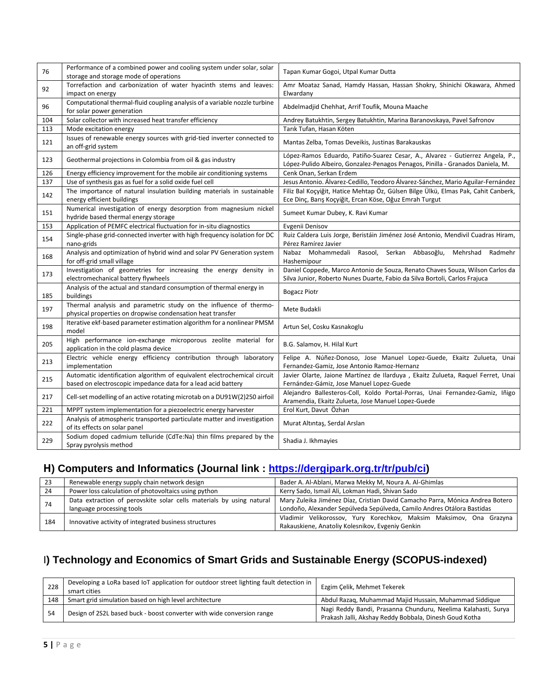| 76  | Performance of a combined power and cooling system under solar, solar<br>storage and storage mode of operations                           | Tapan Kumar Gogoi, Utpal Kumar Dutta                                                                                                                            |
|-----|-------------------------------------------------------------------------------------------------------------------------------------------|-----------------------------------------------------------------------------------------------------------------------------------------------------------------|
| 92  | Torrefaction and carbonization of water hyacinth stems and leaves:<br>impact on energy                                                    | Amr Moataz Sanad, Hamdy Hassan, Hassan Shokry, Shinichi Okawara, Ahmed<br>Elwardany                                                                             |
| 96  | Computational thermal-fluid coupling analysis of a variable nozzle turbine<br>for solar power generation                                  | Abdelmadjid Chehhat, Arrif Toufik, Mouna Maache                                                                                                                 |
| 104 | Solar collector with increased heat transfer efficiency                                                                                   | Andrey Batukhtin, Sergey Batukhtin, Marina Baranovskaya, Pavel Safronov                                                                                         |
| 113 | Mode excitation energy                                                                                                                    | Tarık Tufan, Hasan Köten                                                                                                                                        |
| 121 | Issues of renewable energy sources with grid-tied inverter connected to<br>an off-grid system                                             | Mantas Zelba, Tomas Deveikis, Justinas Barakauskas                                                                                                              |
| 123 | Geothermal projections in Colombia from oil & gas industry                                                                                | López-Ramos Eduardo, Patiño-Suarez Cesar, A., Alvarez - Gutierrez Angela, P.,<br>López-Pulido Albeiro, Gonzalez-Penagos Penagos, Pinilla - Granados Daniela, M. |
| 126 | Energy efficiency improvement for the mobile air conditioning systems                                                                     | Cenk Onan, Serkan Erdem                                                                                                                                         |
| 137 | Use of synthesis gas as fuel for a solid oxide fuel cell                                                                                  | Jesus Antonio. Álvarez-Cedillo, Teodoro Álvarez-Sánchez, Mario Aguilar-Fernández                                                                                |
| 142 | The importance of natural insulation building materials in sustainable<br>energy efficient buildings                                      | Filiz Bal Koçyiğit, Hatice Mehtap Öz, Gülsen Bilge Ülkü, Elmas Pak, Cahit Canberk,<br>Ece Dinç, Barış Koçyiğit, Ercan Köse, Oğuz Emrah Turgut                   |
| 151 | Numerical investigation of energy desorption from magnesium nickel<br>hydride based thermal energy storage                                | Sumeet Kumar Dubey, K. Ravi Kumar                                                                                                                               |
| 153 | Application of PEMFC electrical fluctuation for in-situ diagnostics                                                                       | Evgenii Denisov                                                                                                                                                 |
| 154 | Single-phase grid-connected inverter with high frequency isolation for DC<br>nano-grids                                                   | Ruiz Caldera Luis Jorge, Beristáin Jiménez José Antonio, Mendivil Cuadras Hiram,<br>Pérez Ramírez Javier                                                        |
| 168 | Analysis and optimization of hybrid wind and solar PV Generation system<br>for off-grid small village                                     | Nabaz Mohammedali<br>Rasool,<br>Serkan Abbasoğlu,<br>Mehrshad Radmehr<br>Hashemipour                                                                            |
| 173 | Investigation of geometries for increasing the energy density in<br>electromechanical battery flywheels                                   | Daniel Coppede, Marco Antonio de Souza, Renato Chaves Souza, Wilson Carlos da<br>Silva Junior, Roberto Nunes Duarte, Fabio da Silva Bortoli, Carlos Frajuca     |
| 185 | Analysis of the actual and standard consumption of thermal energy in<br>buildings                                                         | <b>Bogacz Piotr</b>                                                                                                                                             |
| 197 | Thermal analysis and parametric study on the influence of thermo-<br>physical properties on dropwise condensation heat transfer           | Mete Budakli                                                                                                                                                    |
| 198 | Iterative ekf-based parameter estimation algorithm for a nonlinear PMSM<br>model                                                          | Artun Sel, Cosku Kasnakoglu                                                                                                                                     |
| 205 | High performance ion-exchange microporous zeolite material for<br>application in the cold plasma device                                   | B.G. Salamov, H. Hilal Kurt                                                                                                                                     |
| 213 | Electric vehicle energy efficiency contribution through laboratory<br>implementation                                                      | Felipe A. Núñez-Donoso, Jose Manuel Lopez-Guede, Ekaitz Zulueta, Unai<br>Fernandez-Gamiz, Jose Antonio Ramoz-Hernanz                                            |
| 215 | Automatic identification algorithm of equivalent electrochemical circuit<br>based on electroscopic impedance data for a lead acid battery | Javier Olarte, Jaione Martínez de Ilarduya, Ekaitz Zulueta, Raquel Ferret, Unai<br>Fernández-Gámiz, Jose Manuel Lopez-Guede                                     |
| 217 | Cell-set modelling of an active rotating microtab on a DU91W(2)250 airfoil                                                                | Alejandro Ballesteros-Coll, Koldo Portal-Porras, Unai Fernandez-Gamiz, Iñigo<br>Aramendia, Ekaitz Zulueta, Jose Manuel Lopez-Guede                              |
| 221 | MPPT system implementation for a piezoelectric energy harvester                                                                           | Erol Kurt, Davut Özhan                                                                                                                                          |
| 222 | Analysis of atmospheric transported particulate matter and investigation<br>of its effects on solar panel                                 | Murat Altıntaş, Serdal Arslan                                                                                                                                   |
| 229 | Sodium doped cadmium telluride (CdTe:Na) thin films prepared by the<br>Spray pyrolysis method                                             | Shadia J. Ikhmayies                                                                                                                                             |

### **H) Computers and Informatics (Journal link : [https://dergipark.org.tr/tr/pub/ci\)](https://dergipark.org.tr/tr/pub/ci)**

| -23 | Renewable energy supply chain network design                         | Bader A. Al-Ablani, Marwa Mekky M, Noura A. Al-Ghimlas                        |  |
|-----|----------------------------------------------------------------------|-------------------------------------------------------------------------------|--|
| -24 | Power loss calculation of photovoltaics using python                 | Kerry Sado, Ismail Ali, Lokman Hadi, Shivan Sado                              |  |
|     | Data extraction of perovskite solar cells materials by using natural | Mary Zuleika Jiménez Díaz, Cristian David Camacho Parra, Mónica Andrea Botero |  |
| 74  | language processing tools                                            | Londoño, Alexander Sepúlveda Sepúlveda, Camilo Andres Otálora Bastidas        |  |
|     |                                                                      | Vladimir Velikorossov, Yury Korechkov, Maksim Maksimov, Ona Grazyna           |  |
| 184 | Innovative activity of integrated business structures                | Rakauskiene, Anatoliy Kolesnikov, Evgeniy Genkin                              |  |

### I**) [Technology and Economics of Smart Grids and Sustainable Energy](https://www.springer.com/journal/40866/) (SCOPUS-indexed)**

| 228 | Developing a LoRa based IoT application for outdoor street lighting fault detection in<br>smart cities | Ezgim Celik, Mehmet Tekerek                                                                                             |
|-----|--------------------------------------------------------------------------------------------------------|-------------------------------------------------------------------------------------------------------------------------|
| 148 | Smart grid simulation based on high level architecture                                                 | Abdul Razaq, Muhammad Majid Hussain, Muhammad Siddique                                                                  |
| 54  | Design of 2S2L based buck - boost converter with wide conversion range                                 | Nagi Reddy Bandi, Prasanna Chunduru, Neelima Kalahasti, Surya<br>Prakash Jalli, Akshay Reddy Bobbala, Dinesh Goud Kotha |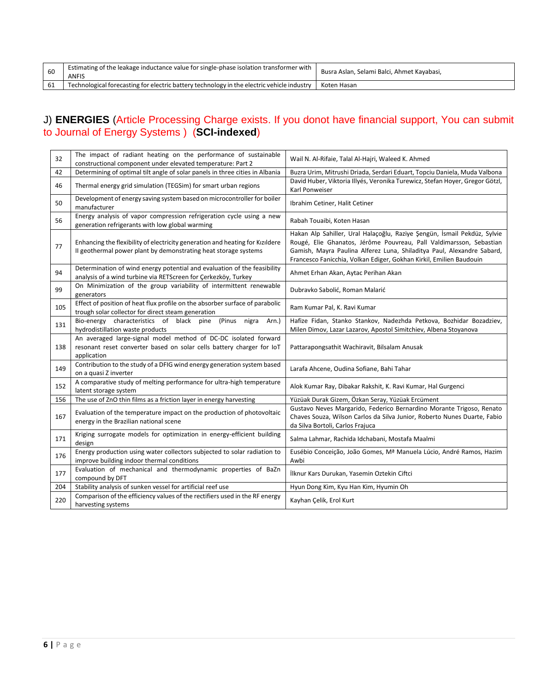| 60  | Estimating of the leakage inductance value for single-phase isolation transformer with<br><b>ANFIS</b> | Busra Aslan, Selami Balci, Ahmet Kayabasi, |
|-----|--------------------------------------------------------------------------------------------------------|--------------------------------------------|
| -61 | Technological forecasting for electric battery technology in the electric vehicle industry             | Koten Hasan                                |

#### J) **ENERGIES** (Article Processing Charge exists. If you donot have financial support, You can submit to Journal of Energy Systems ) (**SCI-indexed**)

| 32  | The impact of radiant heating on the performance of sustainable<br>constructional component under elevated temperature: Part 2                          | Wail N. Al-Rifaie, Talal Al-Hajri, Waleed K. Ahmed                                                                                                                                                                                                                                               |
|-----|---------------------------------------------------------------------------------------------------------------------------------------------------------|--------------------------------------------------------------------------------------------------------------------------------------------------------------------------------------------------------------------------------------------------------------------------------------------------|
| 42  | Determining of optimal tilt angle of solar panels in three cities in Albania                                                                            | Buzra Urim, Mitrushi Driada, Serdari Eduart, Topciu Daniela, Muda Valbona                                                                                                                                                                                                                        |
| 46  | Thermal energy grid simulation (TEGSim) for smart urban regions                                                                                         | David Huber, Viktoria Illyés, Veronika Turewicz, Stefan Hoyer, Gregor Götzl,<br>Karl Ponweiser                                                                                                                                                                                                   |
| 50  | Development of energy saving system based on microcontroller for boiler<br>manufacturer                                                                 | Ibrahim Cetiner, Halit Cetiner                                                                                                                                                                                                                                                                   |
| 56  | Energy analysis of vapor compression refrigeration cycle using a new<br>generation refrigerants with low global warming                                 | Rabah Touaibi, Koten Hasan                                                                                                                                                                                                                                                                       |
| 77  | Enhancing the flexibility of electricity generation and heating for Kızıldere<br>Il geothermal power plant by demonstrating heat storage systems        | Hakan Alp Sahiller, Ural Halaçoğlu, Raziye Şengün, İsmail Pekdüz, Sylvie<br>Rougé, Elie Ghanatos, Jérôme Pouvreau, Pall Valdimarsson, Sebastian<br>Gamish, Mayra Paulina Alferez Luna, Shiladitya Paul, Alexandre Sabard,<br>Francesco Fanicchia, Volkan Ediger, Gokhan Kirkil, Emilien Baudouin |
| 94  | Determination of wind energy potential and evaluation of the feasibility<br>analysis of a wind turbine via RETScreen for Çerkezköy, Turkey              | Ahmet Erhan Akan, Aytac Perihan Akan                                                                                                                                                                                                                                                             |
| 99  | On Minimization of the group variability of intermittent renewable<br>generators                                                                        | Dubravko Sabolić, Roman Malarić                                                                                                                                                                                                                                                                  |
| 105 | Effect of position of heat flux profile on the absorber surface of parabolic<br>trough solar collector for direct steam generation                      | Ram Kumar Pal, K. Ravi Kumar                                                                                                                                                                                                                                                                     |
| 131 | Bio-energy characteristics of black pine (Pinus nigra<br>Arn.)<br>hydrodistillation waste products                                                      | Hafize Fidan, Stanko Stankov, Nadezhda Petkova, Bozhidar Bozadziev,<br>Milen Dimov, Lazar Lazarov, Apostol Simitchiev, Albena Stoyanova                                                                                                                                                          |
| 138 | An averaged large-signal model method of DC-DC isolated forward<br>resonant reset converter based on solar cells battery charger for IoT<br>application | Pattarapongsathit Wachiravit, Bilsalam Anusak                                                                                                                                                                                                                                                    |
| 149 | Contribution to the study of a DFIG wind energy generation system based<br>on a quasi Z inverter                                                        | Larafa Ahcene, Oudina Sofiane, Bahi Tahar                                                                                                                                                                                                                                                        |
| 152 | A comparative study of melting performance for ultra-high temperature<br>latent storage system                                                          | Alok Kumar Ray, Dibakar Rakshit, K. Ravi Kumar, Hal Gurgenci                                                                                                                                                                                                                                     |
| 156 | The use of ZnO thin films as a friction layer in energy harvesting                                                                                      | Yüzüak Durak Gizem, Özkan Seray, Yüzüak Ercüment                                                                                                                                                                                                                                                 |
| 167 | Evaluation of the temperature impact on the production of photovoltaic<br>energy in the Brazilian national scene                                        | Gustavo Neves Margarido, Federico Bernardino Morante Trigoso, Renato<br>Chaves Souza, Wilson Carlos da Silva Junior, Roberto Nunes Duarte, Fabio<br>da Silva Bortoli, Carlos Frajuca                                                                                                             |
| 171 | Kriging surrogate models for optimization in energy-efficient building<br>design                                                                        | Salma Lahmar, Rachida Idchabani, Mostafa Maalmi                                                                                                                                                                                                                                                  |
| 176 | Energy production using water collectors subjected to solar radiation to<br>improve building indoor thermal conditions                                  | Eusébio Conceição, João Gomes, Mª Manuela Lúcio, André Ramos, Hazim<br>Awbi                                                                                                                                                                                                                      |
| 177 | Evaluation of mechanical and thermodynamic properties of BaZn<br>compound by DFT                                                                        | İlknur Kars Durukan, Yasemin Oztekin Ciftci                                                                                                                                                                                                                                                      |
| 204 | Stability analysis of sunken vessel for artificial reef use                                                                                             | Hyun Dong Kim, Kyu Han Kim, Hyumin Oh                                                                                                                                                                                                                                                            |
| 220 | Comparison of the efficiency values of the rectifiers used in the RF energy<br>harvesting systems                                                       | Kayhan Çelik, Erol Kurt                                                                                                                                                                                                                                                                          |